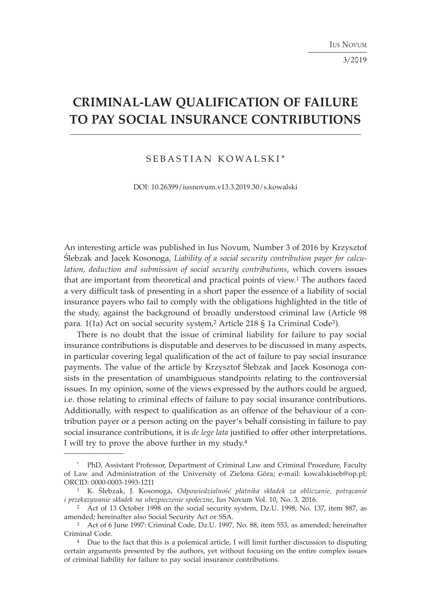3/2019

# **CRIMINAL-LAW QUALIFICATION OF FAILURE TO PAY SOCIAL INSURANCE CONTRIBUTIONS**

## SEBASTIAN KOWALSKI\*

DOI: 10.26399/iusnovum.v13.3.2019.30/s.kowalski

An interesting article was published in Ius Novum, Number 3 of 2016 by Krzysztof Ślebzak and Jacek Kosonoga, *Liability of a social security contribution payer for calculation, deduction and submission of social security contributions*, which covers issues that are important from theoretical and practical points of view.1 The authors faced a very difficult task of presenting in a short paper the essence of a liability of social insurance payers who fail to comply with the obligations highlighted in the title of the study, against the background of broadly understood criminal law (Article 98 para. 1(1a) Act on social security system,2 Article 218 § 1a Criminal Code3).

There is no doubt that the issue of criminal liability for failure to pay social insurance contributions is disputable and deserves to be discussed in many aspects, in particular covering legal qualification of the act of failure to pay social insurance payments. The value of the article by Krzysztof Ślebzak and Jacek Kosonoga consists in the presentation of unambiguous standpoints relating to the controversial issues. In my opinion, some of the views expressed by the authors could be argued, i.e. those relating to criminal effects of failure to pay social insurance contributions. Additionally, with respect to qualification as an offence of the behaviour of a contribution payer or a person acting on the payer's behalf consisting in failure to pay social insurance contributions, it is *de lege lata* justified to offer other interpretations. I will try to prove the above further in my study.4

<sup>\*</sup> PhD, Assistant Professor, Department of Criminal Law and Criminal Procedure, Faculty of Law and Administration of the University of Zielona Góra; e-mail: kowalskiseb@op.pl; ORCID: 0000-0003-1993-1211

<sup>1</sup> K. Ślebzak, J. Kosonoga, *Odpowiedzialność płatnika składek za obliczanie, potrącanie i przekazywanie składek na ubezpieczenie społeczne*, Ius Novum Vol. 10, No. 3, 2016.

<sup>2</sup> Act of 13 October 1998 on the social security system, Dz.U. 1998, No. 137, item 887, as amended; hereinafter also Social Security Act or SSA.

<sup>3</sup> Act of 6 June 1997: Criminal Code, Dz.U. 1997, No. 88, item 553, as amended; hereinafter Criminal Code.

<sup>4</sup> Due to the fact that this is a polemical article, I will limit further discussion to disputing certain arguments presented by the authors, yet without focusing on the entire complex issues of criminal liability for failure to pay social insurance contributions.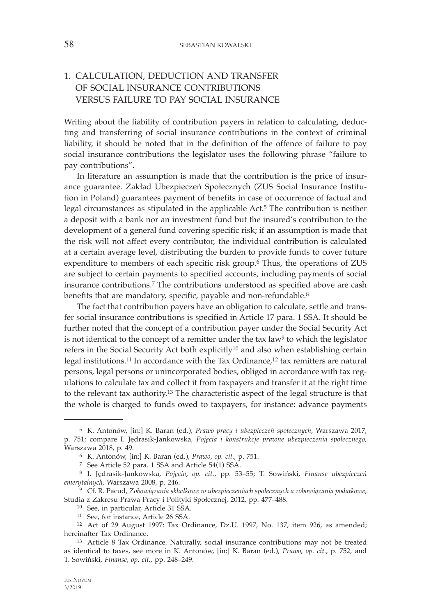## 1. CALCULATION, DEDUCTION AND TRANSFER OF SOCIAL INSURANCE CONTRIBUTIONS VERSUS FAILURE TO PAY SOCIAL INSURANCE

Writing about the liability of contribution payers in relation to calculating, deducting and transferring of social insurance contributions in the context of criminal liability, it should be noted that in the definition of the offence of failure to pay social insurance contributions the legislator uses the following phrase "failure to pay contributions".

In literature an assumption is made that the contribution is the price of insurance guarantee. Zakład Ubezpieczeń Społecznych (ZUS Social Insurance Institution in Poland) guarantees payment of benefits in case of occurrence of factual and legal circumstances as stipulated in the applicable Act.5 The contribution is neither a deposit with a bank nor an investment fund but the insured's contribution to the development of a general fund covering specific risk; if an assumption is made that the risk will not affect every contributor, the individual contribution is calculated at a certain average level, distributing the burden to provide funds to cover future expenditure to members of each specific risk group.6 Thus, the operations of ZUS are subject to certain payments to specified accounts, including payments of social insurance contributions.7 The contributions understood as specified above are cash benefits that are mandatory, specific, payable and non-refundable.<sup>8</sup>

The fact that contribution payers have an obligation to calculate, settle and transfer social insurance contributions is specified in Article 17 para. 1 SSA. It should be further noted that the concept of a contribution payer under the Social Security Act is not identical to the concept of a remitter under the tax law<sup>9</sup> to which the legislator refers in the Social Security Act both explicitly10 and also when establishing certain legal institutions.<sup>11</sup> In accordance with the Tax Ordinance,<sup>12</sup> tax remitters are natural persons, legal persons or unincorporated bodies, obliged in accordance with tax regulations to calculate tax and collect it from taxpayers and transfer it at the right time to the relevant tax authority.<sup>13</sup> The characteristic aspect of the legal structure is that the whole is charged to funds owed to taxpayers, for instance: advance payments

 <sup>5</sup> K. Antonów, [in:] K. Baran (ed.), *Prawo pracy i ubezpieczeń społecznych*, Warszawa 2017, p. 751; compare I. Jędrasik-Jankowska, *Pojęcia i konstrukcje prawne ubezpieczenia społecznego*, Warszawa 2018, p. 49.<br><sup>6</sup> K. Antonów, [in:] K. Baran (ed.), *Prawo*, *op. cit.*, p. 751.<br><sup>7</sup> See Article 52 para. 1 SSA and Article 54(1) SSA.

 <sup>8</sup> I. Jędrasik-Jankowska, *Pojęcia*, *op. cit.*, pp. 53–55; T. Sowiński, *Finanse ubezpieczeń emerytalnych*, Warszawa 2008, p. 246. 9 Cf. R. Pacud, *Zobowiązania składkowe w ubezpieczeniach społecznych a zobowiązania podatkowe*,

Studia z Zakresu Prawa Pracy i Polityki Społecznej, 2012, pp. 477–488. 10 See, in particular, Article 31 SSA.

<sup>11</sup> See, for instance, Article 26 SSA.

<sup>12</sup> Act of 29 August 1997: Tax Ordinance, Dz.U. 1997, No. 137, item 926, as amended; hereinafter Tax Ordinance.

<sup>13</sup> Article 8 Tax Ordinance. Naturally, social insurance contributions may not be treated as identical to taxes, see more in K. Antonów, [in:] K. Baran (ed.), *Prawo*, *op. cit.*, p. 752, and T. Sowiński, *Finanse*, *op. cit.*, pp. 248–249.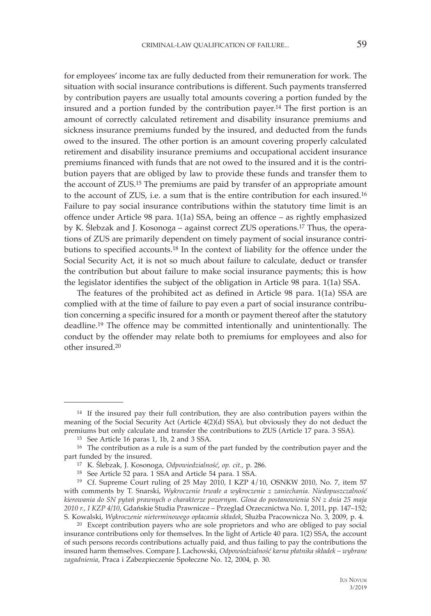for employees' income tax are fully deducted from their remuneration for work. The situation with social insurance contributions is different. Such payments transferred by contribution payers are usually total amounts covering a portion funded by the insured and a portion funded by the contribution payer.14 The first portion is an amount of correctly calculated retirement and disability insurance premiums and sickness insurance premiums funded by the insured, and deducted from the funds owed to the insured. The other portion is an amount covering properly calculated retirement and disability insurance premiums and occupational accident insurance premiums financed with funds that are not owed to the insured and it is the contribution payers that are obliged by law to provide these funds and transfer them to the account of ZUS.15 The premiums are paid by transfer of an appropriate amount to the account of ZUS, i.e. a sum that is the entire contribution for each insured.16 Failure to pay social insurance contributions within the statutory time limit is an offence under Article 98 para. 1(1a) SSA, being an offence – as rightly emphasized by K. Ślebzak and J. Kosonoga – against correct ZUS operations.17 Thus, the operations of ZUS are primarily dependent on timely payment of social insurance contributions to specified accounts.18 In the context of liability for the offence under the Social Security Act, it is not so much about failure to calculate, deduct or transfer the contribution but about failure to make social insurance payments; this is how the legislator identifies the subject of the obligation in Article 98 para. 1(1a) SSA.

The features of the prohibited act as defined in Article 98 para. 1(1a) SSA are complied with at the time of failure to pay even a part of social insurance contribution concerning a specific insured for a month or payment thereof after the statutory deadline.19 The offence may be committed intentionally and unintentionally. The conduct by the offender may relate both to premiums for employees and also for other insured.20

<sup>14</sup> If the insured pay their full contribution, they are also contribution payers within the meaning of the Social Security Act (Article 4(2)(d) SSA), but obviously they do not deduct the premiums but only calculate and transfer the contributions to ZUS (Article 17 para. 3 SSA). 15 See Article 16 paras 1, 1b, 2 and 3 SSA.

 $^{16}\,$  The contribution as a rule is a sum of the part funded by the contribution payer and the part funded by the insured.

part funded by the insured. 17 K. Ślebzak, J. Kosonoga, *Odpowiedzialność*, *op. cit.*, p. 286. 18 See Article 52 para. 1 SSA and Article 54 para. 1 SSA.

<sup>19</sup> Cf. Supreme Court ruling of 25 May 2010, I KZP 4/10, OSNKW 2010, No. 7, item 57 with comments by T. Snarski, *Wykroczenie trwałe a wykroczenie z zaniechania. Niedopuszczalność kierowania do SN pytań prawnych o charakterze pozornym. Glosa do postanowienia SN z dnia 25 maja 2010 r., I KZP 4/10*, Gdańskie Studia Prawnicze – Przegląd Orzecznictwa No. 1, 2011, pp. 147–152;

<sup>&</sup>lt;sup>20</sup> Except contribution payers who are sole proprietors and who are obliged to pay social insurance contributions only for themselves. In the light of Article 40 para. 1(2) SSA, the account of such persons records contributions actually paid, and thus failing to pay the contributions the insured harm themselves. Compare J. Lachowski, *Odpowiedzialność karna płatnika składek – wybrane zagadnienia*, Praca i Zabezpieczenie Społeczne No. 12, 2004, p. 30.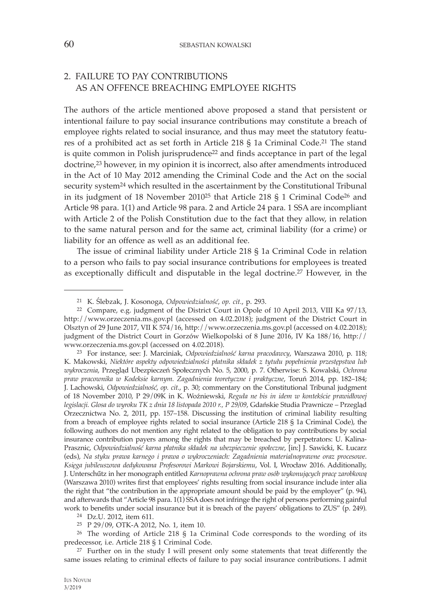## 2. FAILURE TO PAY CONTRIBUTIONS AS AN OFFENCE BREACHING EMPLOYEE RIGHTS

The authors of the article mentioned above proposed a stand that persistent or intentional failure to pay social insurance contributions may constitute a breach of employee rights related to social insurance, and thus may meet the statutory features of a prohibited act as set forth in Article 218 § 1a Criminal Code.21 The stand is quite common in Polish jurisprudence $2<sup>22</sup>$  and finds acceptance in part of the legal doctrine,23 however, in my opinion it is incorrect, also after amendments introduced in the Act of 10 May 2012 amending the Criminal Code and the Act on the social security system<sup>24</sup> which resulted in the ascertainment by the Constitutional Tribunal in its judgment of 18 November 201025 that Article 218 § 1 Criminal Code26 and Article 98 para. 1(1) and Article 98 para. 2 and Article 24 para. 1 SSA are incompliant with Article 2 of the Polish Constitution due to the fact that they allow, in relation to the same natural person and for the same act, criminal liability (for a crime) or liability for an offence as well as an additional fee.

The issue of criminal liability under Article 218 § 1a Criminal Code in relation to a person who fails to pay social insurance contributions for employees is treated as exceptionally difficult and disputable in the legal doctrine.27 However, in the

25 P 29/09, OTK-A 2012, No. 1, item 10.

<sup>26</sup> The wording of Article 218 § 1a Criminal Code corresponds to the wording of its predecessor, i.e. Article 218 § 1 Criminal Code.

<sup>27</sup> Further on in the study I will present only some statements that treat differently the same issues relating to criminal effects of failure to pay social insurance contributions. I admit

<sup>21</sup> K. Ślebzak, J. Kosonoga, *Odpowiedzialność*, *op. cit.*, p. 293. 22 Compare, e.g. judgment of the District Court in Opole of 10 April 2013, VIII Ka 97/13, http://www.orzeczenia.ms.gov.pl (accessed on 4.02.2018); judgment of the District Court in Olsztyn of 29 June 2017, VII K 574/16, http://www.orzeczenia.ms.gov.pl (accessed on 4.02.2018); judgment of the District Court in Gorzów Wielkopolski of 8 June 2016, IV Ka 188/16, http:// www.orzeczenia.ms.gov.pl (accessed on 4.02.2018). 23 For instance, see: J. Marciniak, *Odpowiedzialność karna pracodawcy*, Warszawa 2010, p. 118;

K. Makowski, *Niektóre aspekty odpowiedzialności płatnika składek z tytułu popełnienia przestępstwa lub wykroczenia*, Przegląd Ubezpieczeń Społecznych No. 5, 2000, p. 7. Otherwise: S. Kowalski, *Ochrona praw pracownika w Kodeksie karnym. Zagadnienia teoretyczne i praktyczne*, Toruń 2014, pp. 182–184; J. Lachowski, *Odpowiedzialność*, *op. cit.*, p. 30; commentary on the Constitutional Tribunal judgment of 18 November 2010, P 29/09K in K. Woźniewski, *Reguła ne bis in idem w kontekście prawidłowej legislacji. Glosa do wyroku TK z dnia 18 listopada 2010 r., P 29/09*, Gdańskie Studia Prawnicze – Przegląd Orzecznictwa No. 2, 2011, pp. 157–158. Discussing the institution of criminal liability resulting from a breach of employee rights related to social insurance (Article 218 § 1a Criminal Code), the following authors do not mention any right related to the obligation to pay contributions by social insurance contribution payers among the rights that may be breached by perpetrators: U. Kalina-Prasznic, *Odpowiedzialność karna płatnika składek na ubezpieczenie społeczne*, [in:] J. Sawicki, K. Łucarz (eds), *Na styku prawa karnego i prawa o wykroczeniach: Zagadnienia materialnoprawne oraz procesowe*. *Księga jubileuszowa dedykowana Profesorowi Markowi Bojarskiemu*, Vol. I, Wrocław 2016. Additionally, J. Unterschűtz in her monograph entitled *Karnoprawna ochrona praw osób wykonujących pracę zarobkową* (Warszawa 2010) writes first that employees' rights resulting from social insurance include inter alia the right that "the contribution in the appropriate amount should be paid by the employer" (p. 94), and afterwards that "Article 98 para. 1(1) SSA does not infringe the right of persons performing gainful work to benefits under social insurance but it is breach of the payers' obligations to ZUS" (p. 249). 24 Dz.U. 2012, item 611.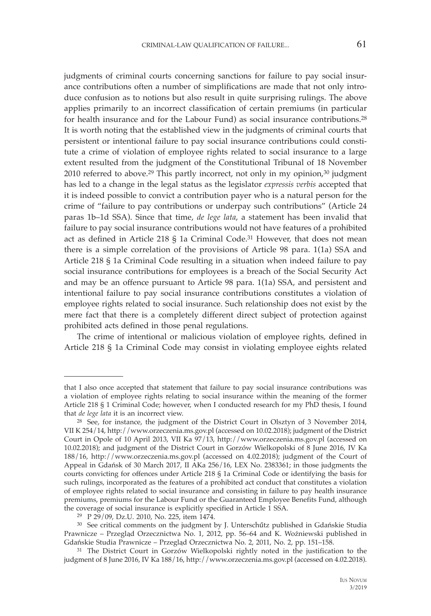judgments of criminal courts concerning sanctions for failure to pay social insurance contributions often a number of simplifications are made that not only introduce confusion as to notions but also result in quite surprising rulings. The above applies primarily to an incorrect classification of certain premiums (in particular for health insurance and for the Labour Fund) as social insurance contributions.28 It is worth noting that the established view in the judgments of criminal courts that persistent or intentional failure to pay social insurance contributions could constitute a crime of violation of employee rights related to social insurance to a large extent resulted from the judgment of the Constitutional Tribunal of 18 November 2010 referred to above.<sup>29</sup> This partly incorrect, not only in my opinion, $30$  judgment has led to a change in the legal status as the legislator *expressis verbis* accepted that it is indeed possible to convict a contribution payer who is a natural person for the crime of "failure to pay contributions or underpay such contributions" (Article 24 paras 1b–1d SSA). Since that time, *de lege lata*, a statement has been invalid that failure to pay social insurance contributions would not have features of a prohibited act as defined in Article 218 § 1a Criminal Code.31 However, that does not mean there is a simple correlation of the provisions of Article 98 para. 1(1a) SSA and Article 218 § 1a Criminal Code resulting in a situation when indeed failure to pay social insurance contributions for employees is a breach of the Social Security Act and may be an offence pursuant to Article 98 para. 1(1a) SSA, and persistent and intentional failure to pay social insurance contributions constitutes a violation of employee rights related to social insurance. Such relationship does not exist by the mere fact that there is a completely different direct subject of protection against prohibited acts defined in those penal regulations.

The crime of intentional or malicious violation of employee rights, defined in Article 218 § 1a Criminal Code may consist in violating employee eights related

that I also once accepted that statement that failure to pay social insurance contributions was a violation of employee rights relating to social insurance within the meaning of the former Article 218 § 1 Criminal Code; however, when I conducted research for my PhD thesis, I found that *de lege lata* it is an incorrect view.

<sup>&</sup>lt;sup>28</sup> See, for instance, the judgment of the District Court in Olsztyn of 3 November 2014, VII K 254/14, http://www.orzeczenia.ms.gov.pl (accessed on 10.02.2018); judgment of the District Court in Opole of 10 April 2013, VII Ka 97/13, http://www.orzeczenia.ms.gov.pl (accessed on 10.02.2018); and judgment of the District Court in Gorzów Wielkopolski of 8 June 2016, IV Ka 188/16, http://www.orzeczenia.ms.gov.pl (accessed on 4.02.2018); judgment of the Court of Appeal in Gdańsk of 30 March 2017, II AKa 256/16, LEX No. 2383361; in those judgments the courts convicting for offences under Article 218 § 1a Criminal Code or identifying the basis for such rulings, incorporated as the features of a prohibited act conduct that constitutes a violation of employee rights related to social insurance and consisting in failure to pay health insurance premiums, premiums for the Labour Fund or the Guaranteed Employee Benefits Fund, although the coverage of social insurance is explicitly specified in Article 1 SSA. 29 P 29/09, Dz.U. 2010, No. 225, item 1474.

<sup>30</sup> See critical comments on the judgment by J. Unterschűtz published in Gdańskie Studia Prawnicze – Przegląd Orzecznictwa No. 1, 2012, pp. 56–64 and K. Woźniewski published in Gdańskie Studia Prawnicze – Przegląd Orzecznictwa No. 2, 2011, No. 2, pp. 151–158.

<sup>31</sup> The District Court in Gorzów Wielkopolski rightly noted in the justification to the judgment of 8 June 2016, IV Ka 188/16, http://www.orzeczenia.ms.gov.pl (accessed on 4.02.2018).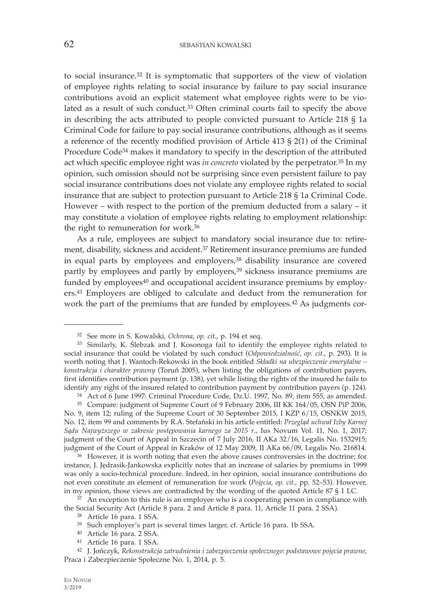to social insurance.32 It is symptomatic that supporters of the view of violation of employee rights relating to social insurance by failure to pay social insurance contributions avoid an explicit statement what employee rights were to be violated as a result of such conduct.33 Often criminal courts fail to specify the above in describing the acts attributed to people convicted pursuant to Article 218 § 1a Criminal Code for failure to pay social insurance contributions, although as it seems a reference of the recently modified provision of Article 413 § 2(1) of the Criminal Procedure Code34 makes it mandatory to specify in the description of the attributed act which specific employee right was *in concreto* violated by the perpetrator.35 In my opinion, such omission should not be surprising since even persistent failure to pay social insurance contributions does not violate any employee rights related to social insurance that are subject to protection pursuant to Article 218 § 1a Criminal Code. However – with respect to the portion of the premium deducted from a salary – it may constitute a violation of employee rights relating to employment relationship: the right to remuneration for work.36

As a rule, employees are subject to mandatory social insurance due to: retirement, disability, sickness and accident.37 Retirement insurance premiums are funded in equal parts by employees and employers,<sup>38</sup> disability insurance are covered partly by employees and partly by employers,<sup>39</sup> sickness insurance premiums are funded by employees<sup>40</sup> and occupational accident insurance premiums by employers.41 Employers are obliged to calculate and deduct from the remuneration for work the part of the premiums that are funded by employees.42 As judgments cor-

<sup>32</sup> See more in S. Kowalski, *Ochrona*, *op. cit.*, p. 194 et seq.

<sup>33</sup> Similarly, K. Ślebzak and J. Kosonoga fail to identify the employee rights related to social insurance that could be violated by such conduct (*Odpowiedzialność*, *op. cit.*, p. 293). It is worth noting that J. Wantoch-Rekowski in the book entitled *Składki na ubezpieczenie emerytalne – konstrukcja i charakter prawny* (Toruń 2005), when listing the obligations of contribution payers, first identifies contribution payment (p. 138), yet while listing the rights of the insured he fails to identify any right of the insured related to contribution payment by contribution payers (p. 124).

<sup>34</sup> Act of 6 June 1997: Criminal Procedure Code, Dz.U. 1997, No. 89, item 555, as amended.

<sup>35</sup> Compare: judgment of Supreme Court of 9 February 2006, III KK 164/05, OSN PiP 2006, No. 9, item 12; ruling of the Supreme Court of 30 September 2015, I KZP 6/15, OSNKW 2015, No. 12, item 99 and comments by R.A. Stefański in his article entitled: *Przegląd uchwał Izby Karnej Sądu Najwyższego w zakresie postępowania karnego za 2015 r*., Ius Novum Vol. 11, No. 1, 2017; judgment of the Court of Appeal in Szczecin of 7 July 2016, II AKa 32/16, Legalis No. 1532915; judgment of the Court of Appeal in Kraków of 12 May 2009, II AKa 66/09, Legalis No. 216814.

 $36$  However, it is worth noting that even the above causes controversies in the doctrine; for instance, J. Jędrasik-Jankowska explicitly notes that an increase of salaries by premiums in 1999 was only a socio-technical procedure. Indeed, in her opinion, social insurance contributions do not even constitute an element of remuneration for work (*Pojęcia*, *op. cit.*, pp. 52–53). However, in my opinion, those views are contradicted by the wording of the quoted Article 87 § 1 LC.

 $37$  An exception to this rule is an employee who is a cooperating person in compliance with the Social Security Act (Article 8 para. 2 and Article 8 para. 11, Article 11 para. 2 SSA).<br><sup>38</sup> Article 16 para. 1 SSA.

<sup>39</sup> Such employer's part is several times larger, cf. Article 16 para. 1b SSA.

<sup>40</sup> Article 16 para. 2 SSA.

<sup>41</sup> Article 16 para. 1 SSA.

<sup>42</sup> J. Jończyk, *Rekonstrukcja zatrudnienia i zabezpieczenia społecznego: podstawowe pojęcia prawne*, Praca i Zabezpieczenie Społeczne No. 1, 2014, p. 5.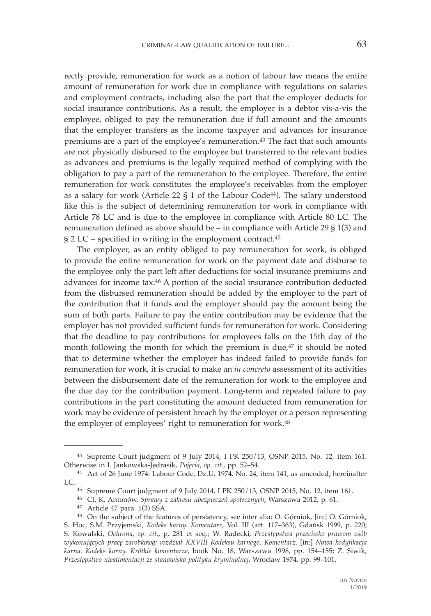rectly provide, remuneration for work as a notion of labour law means the entire amount of remuneration for work due in compliance with regulations on salaries and employment contracts, including also the part that the employer deducts for social insurance contributions. As a result, the employer is a debtor vis-a-vis the employee, obliged to pay the remuneration due if full amount and the amounts that the employer transfers as the income taxpayer and advances for insurance premiums are a part of the employee's remuneration.<sup>43</sup> The fact that such amounts are not physically disbursed to the employee but transferred to the relevant bodies as advances and premiums is the legally required method of complying with the obligation to pay a part of the remuneration to the employee. Therefore, the entire remuneration for work constitutes the employee's receivables from the employer as a salary for work (Article 22  $\S$  1 of the Labour Code<sup>44</sup>). The salary understood like this is the subject of determining remuneration for work in compliance with Article 78 LC and is due to the employee in compliance with Article 80 LC. The remuneration defined as above should be – in compliance with Article 29 § 1(3) and § 2 LC – specified in writing in the employment contract.45

The employer, as an entity obliged to pay remuneration for work, is obliged to provide the entire remuneration for work on the payment date and disburse to the employee only the part left after deductions for social insurance premiums and advances for income tax.46 A portion of the social insurance contribution deducted from the disbursed remuneration should be added by the employer to the part of the contribution that it funds and the employer should pay the amount being the sum of both parts. Failure to pay the entire contribution may be evidence that the employer has not provided sufficient funds for remuneration for work. Considering that the deadline to pay contributions for employees falls on the 15th day of the month following the month for which the premium is due,<sup>47</sup> it should be noted that to determine whether the employer has indeed failed to provide funds for remuneration for work, it is crucial to make an *in concreto* assessment of its activities between the disbursement date of the remuneration for work to the employee and the due day for the contribution payment. Long-term and repeated failure to pay contributions in the part constituting the amount deducted from remuneration for work may be evidence of persistent breach by the employer or a person representing the employer of employees' right to remuneration for work.48

<sup>43</sup> Supreme Court judgment of 9 July 2014, I PK 250/13, OSNP 2015, No. 12, item 161. Otherwise in I. Jankowska-Jędrasik, *Pojęcia*, *op. cit.*, pp. 52–54.

<sup>44</sup> Act of 26 June 1974: Labour Code, Dz.U. 1974, No. 24, item 141, as amended; hereinafter LC.

<sup>45</sup> Supreme Court judgment of 9 July 2014, I PK 250/13, OSNP 2015, No. 12, item 161.

<sup>46</sup> Cf. K. Antonów, *Sprawy z zakresu ubezpieczeń społecznych*, Warszawa 2012, p. 61.

<sup>47</sup> Article 47 para. 1(3) SSA.

<sup>48</sup> On the subject of the features of persistency, see inter alia: O. Górniok, [in:] O. Górniok, S. Hoc, S.M. Przyjemski, *Kodeks karny. Komentarz*, Vol. III (art. 117–363), Gdańsk 1999, p. 220; S. Kowalski, *Ochrona*, *op. cit.*, p. 281 et seq.; W. Radecki, *Przestępstwa przeciwko prawom osób wykonujących pracę zarobkową: rozdział XXVIII Kodeksu karnego. Komentarz*, [in:] *Nowa kodyfikacja karna. Kodeks karny. Krótkie komentarze*, book No. 18, Warszawa 1998, pp. 154–155; Z. Siwik, *Przestępstwo niealimentacji ze stanowiska polityku kryminalnej*, Wrocław 1974, pp. 99–101.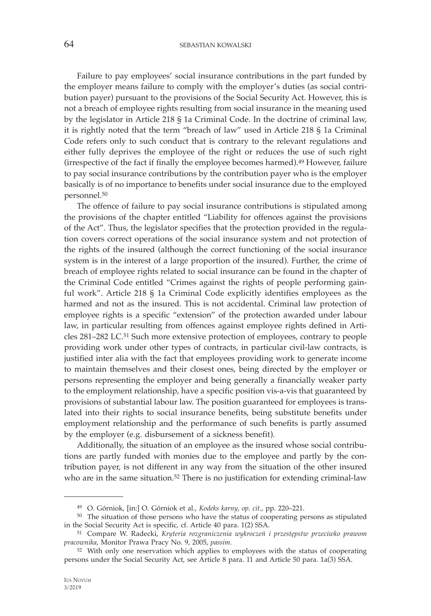Failure to pay employees' social insurance contributions in the part funded by the employer means failure to comply with the employer's duties (as social contribution payer) pursuant to the provisions of the Social Security Act. However, this is not a breach of employee rights resulting from social insurance in the meaning used by the legislator in Article 218 § 1a Criminal Code. In the doctrine of criminal law, it is rightly noted that the term "breach of law" used in Article 218 § 1a Criminal Code refers only to such conduct that is contrary to the relevant regulations and either fully deprives the employee of the right or reduces the use of such right (irrespective of the fact if finally the employee becomes harmed).49 However, failure to pay social insurance contributions by the contribution payer who is the employer basically is of no importance to benefits under social insurance due to the employed personnel.50

The offence of failure to pay social insurance contributions is stipulated among the provisions of the chapter entitled "Liability for offences against the provisions of the Act"*.* Thus, the legislator specifies that the protection provided in the regulation covers correct operations of the social insurance system and not protection of the rights of the insured (although the correct functioning of the social insurance system is in the interest of a large proportion of the insured). Further, the crime of breach of employee rights related to social insurance can be found in the chapter of the Criminal Code entitled "Crimes against the rights of people performing gainful work". Article 218 § 1a Criminal Code explicitly identifies employees as the harmed and not as the insured. This is not accidental. Criminal law protection of employee rights is a specific "extension" of the protection awarded under labour law, in particular resulting from offences against employee rights defined in Articles 281–282 LC.51 Such more extensive protection of employees, contrary to people providing work under other types of contracts, in particular civil-law contracts, is justified inter alia with the fact that employees providing work to generate income to maintain themselves and their closest ones, being directed by the employer or persons representing the employer and being generally a financially weaker party to the employment relationship, have a specific position vis-a-vis that guaranteed by provisions of substantial labour law. The position guaranteed for employees is translated into their rights to social insurance benefits, being substitute benefits under employment relationship and the performance of such benefits is partly assumed by the employer (e.g. disbursement of a sickness benefit).

Additionally, the situation of an employee as the insured whose social contributions are partly funded with monies due to the employee and partly by the contribution payer, is not different in any way from the situation of the other insured who are in the same situation.<sup>52</sup> There is no justification for extending criminal-law

<sup>49</sup> O. Górniok, [in:] O. Górniok et al., *Kodeks karny*, *op. cit.*, pp. 220–221. 50 The situation of those persons who have the status of cooperating persons as stipulated in the Social Security Act is specific, cf. Article 40 para. 1(2) SSA.

<sup>51</sup> Compare W. Radecki, *Kryteria rozgraniczenia wykroczeń i przestępstw przeciwko prawom pracownika*, Monitor Prawa Pracy No. 9, 2005, *passim.*

<sup>52</sup> With only one reservation which applies to employees with the status of cooperating persons under the Social Security Act, see Article 8 para. 11 and Article 50 para. 1a(3) SSA.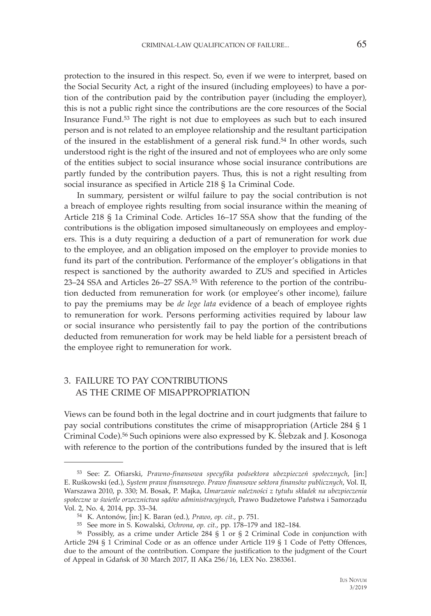protection to the insured in this respect. So, even if we were to interpret, based on the Social Security Act, a right of the insured (including employees) to have a portion of the contribution paid by the contribution payer (including the employer), this is not a public right since the contributions are the core resources of the Social Insurance Fund.53 The right is not due to employees as such but to each insured person and is not related to an employee relationship and the resultant participation of the insured in the establishment of a general risk fund.54 In other words, such understood right is the right of the insured and not of employees who are only some of the entities subject to social insurance whose social insurance contributions are partly funded by the contribution payers. Thus, this is not a right resulting from social insurance as specified in Article 218 § 1a Criminal Code.

In summary, persistent or wilful failure to pay the social contribution is not a breach of employee rights resulting from social insurance within the meaning of Article 218 § 1a Criminal Code. Articles 16–17 SSA show that the funding of the contributions is the obligation imposed simultaneously on employees and employers. This is a duty requiring a deduction of a part of remuneration for work due to the employee, and an obligation imposed on the employer to provide monies to fund its part of the contribution. Performance of the employer's obligations in that respect is sanctioned by the authority awarded to ZUS and specified in Articles 23–24 SSA and Articles 26–27 SSA.55 With reference to the portion of the contribution deducted from remuneration for work (or employee's other income), failure to pay the premiums may be *de lege lata* evidence of a beach of employee rights to remuneration for work. Persons performing activities required by labour law or social insurance who persistently fail to pay the portion of the contributions deducted from remuneration for work may be held liable for a persistent breach of the employee right to remuneration for work.

### 3. FAILURE TO PAY CONTRIBUTIONS AS THE CRIME OF MISAPPROPRIATION

Views can be found both in the legal doctrine and in court judgments that failure to pay social contributions constitutes the crime of misappropriation (Article 284 § 1 Criminal Code).56 Such opinions were also expressed by K. Ślebzak and J. Kosonoga with reference to the portion of the contributions funded by the insured that is left

<sup>53</sup> See: Z. Ofiarski, *Prawno-finansowa specyfika podsektora ubezpieczeń społecznych*, [in:] E. Ruśkowski (ed.), *System prawa finansowego. Prawo finansowe sektora finansów publicznych*, Vol. II, Warszawa 2010, p. 330; M. Bosak, P. Majka, *Umarzanie należności z tytułu składek na ubezpieczenia społeczne w świetle orzecznictwa sądów administracyjnych*, Prawo Budżetowe Państwa i Samorządu Vol. 2, No. 4, 2014, pp. 33–34.

<sup>54</sup> K. Antonów, [in:] K. Baran (ed.), *Prawo*, *op. cit.*, p. 751.

<sup>&</sup>lt;sup>56</sup> Possibly, as a crime under Article 284 § 1 or § 2 Criminal Code in conjunction with Article 294 § 1 Criminal Code or as an offence under Article 119 § 1 Code of Petty Offences, due to the amount of the contribution. Compare the justification to the judgment of the Court of Appeal in Gdańsk of 30 March 2017, II AKa 256/16, LEX No. 2383361.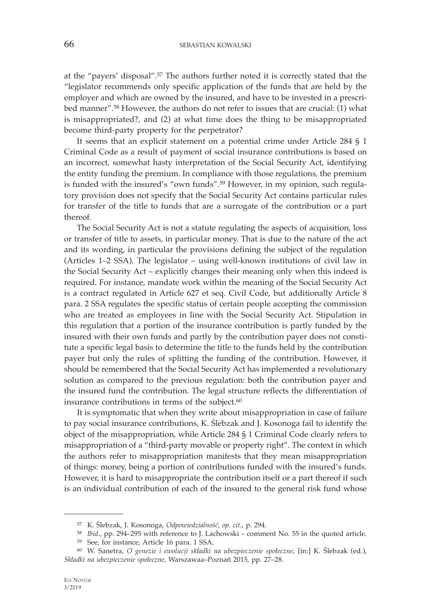at the "payers' disposal".57 The authors further noted it is correctly stated that the "legislator recommends only specific application of the funds that are held by the employer and which are owned by the insured, and have to be invested in a prescribed manner".58 However, the authors do not refer to issues that are crucial: (1) what is misappropriated?, and (2) at what time does the thing to be misappropriated become third-party property for the perpetrator?

It seems that an explicit statement on a potential crime under Article 284 § 1 Criminal Code as a result of payment of social insurance contributions is based on an incorrect, somewhat hasty interpretation of the Social Security Act, identifying the entity funding the premium. In compliance with those regulations, the premium is funded with the insured's "own funds".59 However, in my opinion, such regulatory provision does not specify that the Social Security Act contains particular rules for transfer of the title to funds that are a surrogate of the contribution or a part thereof.

The Social Security Act is not a statute regulating the aspects of acquisition, loss or transfer of title to assets, in particular money. That is due to the nature of the act and its wording, in particular the provisions defining the subject of the regulation (Articles 1–2 SSA). The legislator – using well-known institutions of civil law in the Social Security Act – explicitly changes their meaning only when this indeed is required. For instance, mandate work within the meaning of the Social Security Act is a contract regulated in Article 627 et seq. Civil Code, but additionally Article 8 para. 2 SSA regulates the specific status of certain people accepting the commission who are treated as employees in line with the Social Security Act. Stipulation in this regulation that a portion of the insurance contribution is partly funded by the insured with their own funds and partly by the contribution payer does not constitute a specific legal basis to determine the title to the funds held by the contribution payer but only the rules of splitting the funding of the contribution. However, it should be remembered that the Social Security Act has implemented a revolutionary solution as compared to the previous regulation: both the contribution payer and the insured fund the contribution. The legal structure reflects the differentiation of insurance contributions in terms of the subject.<sup>60</sup>

It is symptomatic that when they write about misappropriation in case of failure to pay social insurance contributions, K. Ślebzak and J. Kosonoga fail to identify the object of the misappropriation, while Article 284 § 1 Criminal Code clearly refers to misappropriation of a "third-party movable or property right". The context in which the authors refer to misappropriation manifests that they mean misappropriation of things: money, being a portion of contributions funded with the insured's funds. However, it is hard to misappropriate the contribution itself or a part thereof if such is an individual contribution of each of the insured to the general risk fund whose

<sup>57</sup> K. Ślebzak, J. Kosonoga, *Odpowiedzialność*, *op. cit.*, p. 294. 58 *Ibid*., pp. 294–295 with reference to J. Lachowski – comment No. 55 in the quoted article.

<sup>59</sup> See, for instance, Article 16 para. 1 SSA.

<sup>60</sup> W. Sanetra, *O genezie i ewolucji składki na ubezpieczenie społeczne*, [in:] K. Ślebzak (ed.), *Składki na ubezpieczenie społeczne*, Warszawaa–Poznań 2015, pp. 27–28.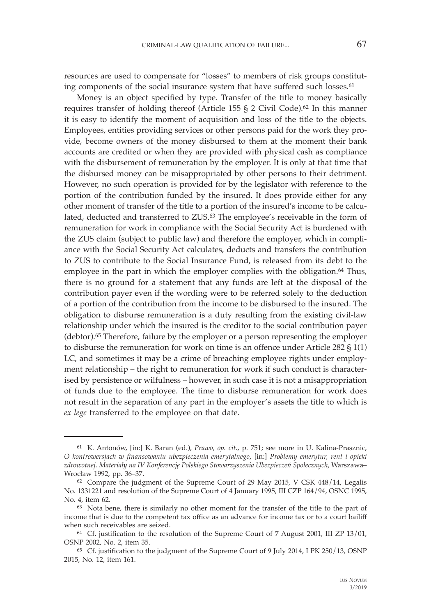resources are used to compensate for "losses" to members of risk groups constituting components of the social insurance system that have suffered such losses.<sup>61</sup>

Money is an object specified by type. Transfer of the title to money basically requires transfer of holding thereof (Article 155 § 2 Civil Code).<sup>62</sup> In this manner it is easy to identify the moment of acquisition and loss of the title to the objects. Employees, entities providing services or other persons paid for the work they provide, become owners of the money disbursed to them at the moment their bank accounts are credited or when they are provided with physical cash as compliance with the disbursement of remuneration by the employer. It is only at that time that the disbursed money can be misappropriated by other persons to their detriment. However, no such operation is provided for by the legislator with reference to the portion of the contribution funded by the insured. It does provide either for any other moment of transfer of the title to a portion of the insured's income to be calculated, deducted and transferred to ZUS.<sup>63</sup> The employee's receivable in the form of remuneration for work in compliance with the Social Security Act is burdened with the ZUS claim (subject to public law) and therefore the employer, which in compliance with the Social Security Act calculates, deducts and transfers the contribution to ZUS to contribute to the Social Insurance Fund, is released from its debt to the employee in the part in which the employer complies with the obligation.<sup>64</sup> Thus, there is no ground for a statement that any funds are left at the disposal of the contribution payer even if the wording were to be referred solely to the deduction of a portion of the contribution from the income to be disbursed to the insured. The obligation to disburse remuneration is a duty resulting from the existing civil-law relationship under which the insured is the creditor to the social contribution payer (debtor).65 Therefore, failure by the employer or a person representing the employer to disburse the remuneration for work on time is an offence under Article 282 § 1(1) LC, and sometimes it may be a crime of breaching employee rights under employment relationship – the right to remuneration for work if such conduct is characterised by persistence or wilfulness – however, in such case it is not a misappropriation of funds due to the employee. The time to disburse remuneration for work does not result in the separation of any part in the employer's assets the title to which is *ex lege* transferred to the employee on that date.

<sup>61</sup> K. Antonów, [in:] K. Baran (ed.), *Prawo*, *op. cit.*, p. 751; see more in U. Kalina-Prasznic, *O kontrowersjach w finansowaniu ubezpieczenia emerytalnego*, [in:] *Problemy emerytur, rent i opieki zdrowotnej*. *Materiały na IV Konferencję Polskiego Stowarzyszenia Ubezpieczeń Społecznych*, Warszawa– Wrocław 1992, pp. 36–37.

<sup>62</sup> Compare the judgment of the Supreme Court of 29 May 2015, V CSK 448/14, Legalis No. 1331221 and resolution of the Supreme Court of 4 January 1995, III CZP 164/94, OSNC 1995, No. 4, item 62.<br><sup>63</sup> Nota bene, there is similarly no other moment for the transfer of the title to the part of

income that is due to the competent tax office as an advance for income tax or to a court bailiff when such receivables are seized. 64 Cf. justification to the resolution of the Supreme Court of 7 August 2001, III ZP 13/01,

OSNP 2002, No. 2, item 35.<br><sup>65</sup> Cf. justification to the judgment of the Supreme Court of 9 July 2014, I PK 250/13, OSNP

<sup>2015,</sup> No. 12, item 161.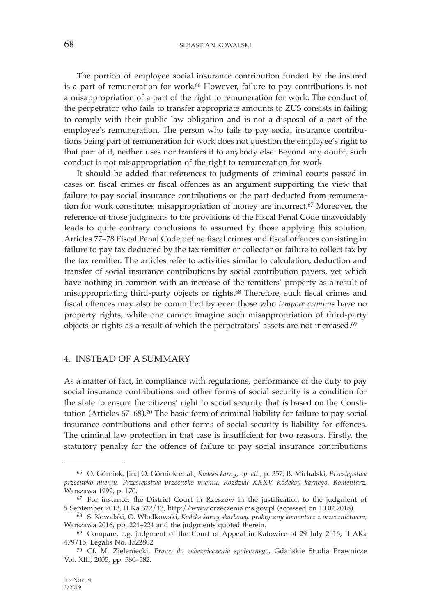68 SEBASTIAN KOWALSKI

The portion of employee social insurance contribution funded by the insured is a part of remuneration for work.66 However, failure to pay contributions is not a misappropriation of a part of the right to remuneration for work. The conduct of the perpetrator who fails to transfer appropriate amounts to ZUS consists in failing to comply with their public law obligation and is not a disposal of a part of the employee's remuneration. The person who fails to pay social insurance contributions being part of remuneration for work does not question the employee's right to that part of it, neither uses nor tranfers it to anybody else. Beyond any doubt, such conduct is not misappropriation of the right to remuneration for work.

It should be added that references to judgments of criminal courts passed in cases on fiscal crimes or fiscal offences as an argument supporting the view that failure to pay social insurance contributions or the part deducted from remuneration for work constitutes misappropriation of money are incorrect.67 Moreover, the reference of those judgments to the provisions of the Fiscal Penal Code unavoidably leads to quite contrary conclusions to assumed by those applying this solution. Articles 77–78 Fiscal Penal Code define fiscal crimes and fiscal offences consisting in failure to pay tax deducted by the tax remitter or collector or failure to collect tax by the tax remitter. The articles refer to activities similar to calculation, deduction and transfer of social insurance contributions by social contribution payers, yet which have nothing in common with an increase of the remitters' property as a result of misappropriating third-party objects or rights.68 Therefore, such fiscal crimes and fiscal offences may also be committed by even those who *tempore criminis* have no property rights, while one cannot imagine such misappropriation of third-party objects or rights as a result of which the perpetrators' assets are not increased.69

## 4. INSTEAD OF A SUMMARY

As a matter of fact, in compliance with regulations, performance of the duty to pay social insurance contributions and other forms of social security is a condition for the state to ensure the citizens' right to social security that is based on the Constitution (Articles 67–68).70 The basic form of criminal liability for failure to pay social insurance contributions and other forms of social security is liability for offences. The criminal law protection in that case is insufficient for two reasons. Firstly, the statutory penalty for the offence of failure to pay social insurance contributions

<sup>66</sup> O. Górniok, [in:] O. Górniok et al., *Kodeks karny*, *op. cit.*, p. 357; B. Michalski, *Przestępstwa przeciwko mieniu. Przestępstwa przeciwko mieniu. Rozdział XXXV Kodeksu karnego. Komentarz*, Warszawa 1999, p. 170.

<sup>&</sup>lt;sup>67</sup> For instance, the District Court in Rzeszów in the justification to the judgment of 5 September 2013, II Ka 322/13, http://www.orzeczenia.ms.gov.pl (accessed on 10.02.2018).

<sup>&</sup>lt;sup>68</sup> S. Kowalski, O. Włodkowski, Kodeks karny skarbowy. praktyczny komentarz z orzecznictwem, Warszawa 2016, pp. 221–224 and the judgments quoted therein.

<sup>69</sup> Compare, e.g. judgment of the Court of Appeal in Katowice of 29 July 2016, II AKa 479/15, Legalis No. 1522802.

<sup>70</sup> Cf. M. Zieleniecki, *Prawo do zabezpieczenia społecznego*, Gdańskie Studia Prawnicze Vol. XIII, 2005, pp. 580–582.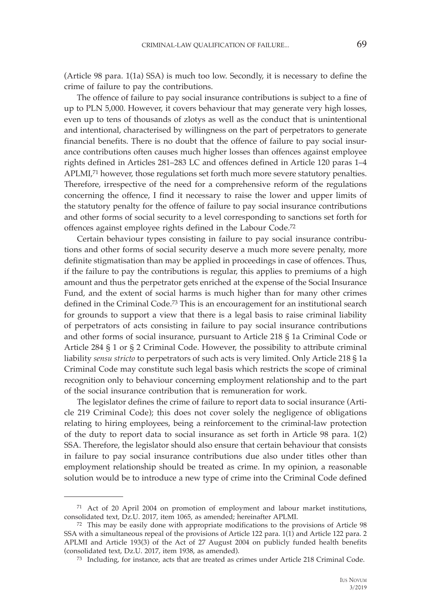(Article 98 para. 1(1a) SSA) is much too low. Secondly, it is necessary to define the crime of failure to pay the contributions.

The offence of failure to pay social insurance contributions is subject to a fine of up to PLN 5,000. However, it covers behaviour that may generate very high losses, even up to tens of thousands of zlotys as well as the conduct that is unintentional and intentional, characterised by willingness on the part of perpetrators to generate financial benefits. There is no doubt that the offence of failure to pay social insurance contributions often causes much higher losses than offences against employee rights defined in Articles 281–283 LC and offences defined in Article 120 paras 1–4 APLMI,71 however, those regulations set forth much more severe statutory penalties. Therefore, irrespective of the need for a comprehensive reform of the regulations concerning the offence, I find it necessary to raise the lower and upper limits of the statutory penalty for the offence of failure to pay social insurance contributions and other forms of social security to a level corresponding to sanctions set forth for offences against employee rights defined in the Labour Code.72

Certain behaviour types consisting in failure to pay social insurance contributions and other forms of social security deserve a much more severe penalty, more definite stigmatisation than may be applied in proceedings in case of offences. Thus, if the failure to pay the contributions is regular, this applies to premiums of a high amount and thus the perpetrator gets enriched at the expense of the Social Insurance Fund, and the extent of social harms is much higher than for many other crimes defined in the Criminal Code.73 This is an encouragement for an institutional search for grounds to support a view that there is a legal basis to raise criminal liability of perpetrators of acts consisting in failure to pay social insurance contributions and other forms of social insurance, pursuant to Article 218 § 1a Criminal Code or Article 284 § 1 or § 2 Criminal Code. However, the possibility to attribute criminal liability *sensu stricto* to perpetrators of such acts is very limited. Only Article 218 § 1a Criminal Code may constitute such legal basis which restricts the scope of criminal recognition only to behaviour concerning employment relationship and to the part of the social insurance contribution that is remuneration for work.

The legislator defines the crime of failure to report data to social insurance (Article 219 Criminal Code); this does not cover solely the negligence of obligations relating to hiring employees, being a reinforcement to the criminal-law protection of the duty to report data to social insurance as set forth in Article 98 para. 1(2) SSA. Therefore, the legislator should also ensure that certain behaviour that consists in failure to pay social insurance contributions due also under titles other than employment relationship should be treated as crime. In my opinion, a reasonable solution would be to introduce a new type of crime into the Criminal Code defined

 $^{71}\,$  Act of 20 April 2004 on promotion of employment and labour market institutions, consolidated text, Dz.U. 2017, item 1065, as amended; hereinafter APLMI.

 $72$  This may be easily done with appropriate modifications to the provisions of Article 98 SSA with a simultaneous repeal of the provisions of Article 122 para. 1(1) and Article 122 para. 2 APLMI and Article 193(3) of the Act of 27 August 2004 on publicly funded health benefits (consolidated text, Dz.U. 2017, item 1938, as amended). 73 Including, for instance, acts that are treated as crimes under Article 218 Criminal Code.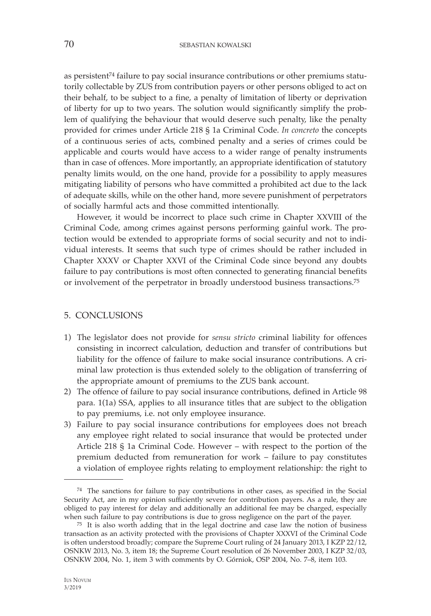as persistent<sup>74</sup> failure to pay social insurance contributions or other premiums statutorily collectable by ZUS from contribution payers or other persons obliged to act on their behalf, to be subject to a fine, a penalty of limitation of liberty or deprivation of liberty for up to two years. The solution would significantly simplify the problem of qualifying the behaviour that would deserve such penalty, like the penalty provided for crimes under Article 218 § 1a Criminal Code. *In concreto* the concepts of a continuous series of acts, combined penalty and a series of crimes could be applicable and courts would have access to a wider range of penalty instruments than in case of offences. More importantly, an appropriate identification of statutory penalty limits would, on the one hand, provide for a possibility to apply measures mitigating liability of persons who have committed a prohibited act due to the lack of adequate skills, while on the other hand, more severe punishment of perpetrators of socially harmful acts and those committed intentionally.

However, it would be incorrect to place such crime in Chapter XXVIII of the Criminal Code, among crimes against persons performing gainful work. The protection would be extended to appropriate forms of social security and not to individual interests. It seems that such type of crimes should be rather included in Chapter XXXV or Chapter XXVI of the Criminal Code since beyond any doubts failure to pay contributions is most often connected to generating financial benefits or involvement of the perpetrator in broadly understood business transactions.75

#### 5. CONCLUSIONS

- 1) The legislator does not provide for *sensu stricto* criminal liability for offences consisting in incorrect calculation, deduction and transfer of contributions but liability for the offence of failure to make social insurance contributions. A criminal law protection is thus extended solely to the obligation of transferring of the appropriate amount of premiums to the ZUS bank account.
- 2) The offence of failure to pay social insurance contributions, defined in Article 98 para. 1(1a) SSA, applies to all insurance titles that are subject to the obligation to pay premiums, i.e. not only employee insurance.
- 3) Failure to pay social insurance contributions for employees does not breach any employee right related to social insurance that would be protected under Article 218 § 1a Criminal Code. However – with respect to the portion of the premium deducted from remuneration for work – failure to pay constitutes a violation of employee rights relating to employment relationship: the right to

<sup>74</sup> The sanctions for failure to pay contributions in other cases, as specified in the Social Security Act, are in my opinion sufficiently severe for contribution payers. As a rule, they are obliged to pay interest for delay and additionally an additional fee may be charged, especially when such failure to pay contributions is due to gross negligence on the part of the payer.

<sup>&</sup>lt;sup>75</sup> It is also worth adding that in the legal doctrine and case law the notion of business transaction as an activity protected with the provisions of Chapter XXXVI of the Criminal Code is often understood broadly; compare the Supreme Court ruling of 24 January 2013, I KZP 22/12, OSNKW 2013, No. 3, item 18; the Supreme Court resolution of 26 November 2003, I KZP 32/03, OSNKW 2004, No. 1, item 3 with comments by O. Górniok, OSP 2004, No. 7–8, item 103*.*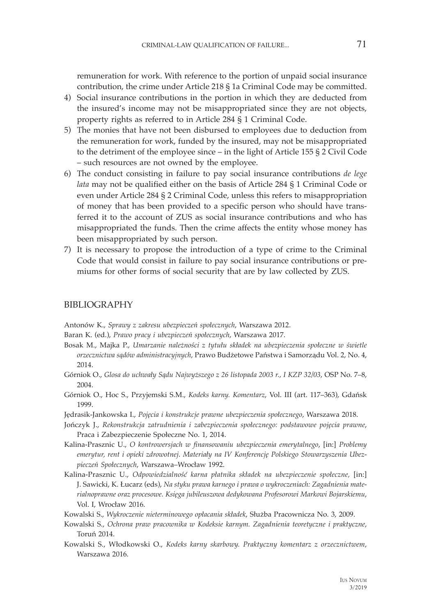remuneration for work. With reference to the portion of unpaid social insurance contribution, the crime under Article 218 § 1a Criminal Code may be committed.

- 4) Social insurance contributions in the portion in which they are deducted from the insured's income may not be misappropriated since they are not objects, property rights as referred to in Article 284 § 1 Criminal Code.
- 5) The monies that have not been disbursed to employees due to deduction from the remuneration for work, funded by the insured, may not be misappropriated to the detriment of the employee since – in the light of Article 155 § 2 Civil Code – such resources are not owned by the employee.
- 6) The conduct consisting in failure to pay social insurance contributions *de lege lata* may not be qualified either on the basis of Article 284 § 1 Criminal Code or even under Article 284 § 2 Criminal Code, unless this refers to misappropriation of money that has been provided to a specific person who should have transferred it to the account of ZUS as social insurance contributions and who has misappropriated the funds. Then the crime affects the entity whose money has been misappropriated by such person.
- 7) It is necessary to propose the introduction of a type of crime to the Criminal Code that would consist in failure to pay social insurance contributions or premiums for other forms of social security that are by law collected by ZUS.

#### BIBLIOGRAPHY

Antonów K., *Sprawy z zakresu ubezpieczeń społecznych*, Warszawa 2012.

- Baran K. (ed.), *Prawo pracy i ubezpieczeń społecznych*, Warszawa 2017.
- Bosak M., Majka P., *Umarzanie należności z tytułu składek na ubezpieczenia społeczne w świetle orzecznictwa sądów administracyjnych*, Prawo Budżetowe Państwa i Samorządu Vol. 2, No. 4, 2014.
- Górniok O., *Glosa do uchwały Sądu Najwyższego z 26 listopada 2003 r., I KZP 32/03*, OSP No. 7–8, 2004.
- Górniok O., Hoc S., Przyjemski S.M., *Kodeks karny. Komentarz*, Vol. III (art. 117–363), Gdańsk 1999.
- Jędrasik-Jankowska I., *Pojęcia i konstrukcje prawne ubezpieczenia społecznego*, Warszawa 2018.
- Jończyk J., *Rekonstrukcja zatrudnienia i zabezpieczenia społecznego: podstawowe pojęcia prawne*, Praca i Zabezpieczenie Społeczne No. 1, 2014.
- Kalina-Prasznic U., *O kontrowersjach w finansowaniu ubezpieczenia emerytalnego*, [in:] *Problemy emerytur, rent i opieki zdrowotnej*. *Materiały na IV Konferencję Polskiego Stowarzyszenia Ubezpieczeń Społecznych*, Warszawa–Wrocław 1992.
- Kalina-Prasznic U., *Odpowiedzialność karna płatnika składek na ubezpieczenie społeczne,* [in:] J. Sawicki, K. Łucarz (eds), *Na styku prawa karnego i prawa o wykroczeniach: Zagadnienia materialnoprawne oraz procesowe. Księga jubileuszowa dedykowana Profesorowi Markowi Bojarskiemu*, Vol. I, Wrocław 2016.
- Kowalski S., *Wykroczenie nieterminowego opłacania składek*, Służba Pracownicza No. 3, 2009.
- Kowalski S., *Ochrona praw pracownika w Kodeksie karnym. Zagadnienia teoretyczne i praktyczne*, Toruń 2014.
- Kowalski S., Włodkowski O., *Kodeks karny skarbowy. Praktyczny komentarz z orzecznictwem*, Warszawa 2016.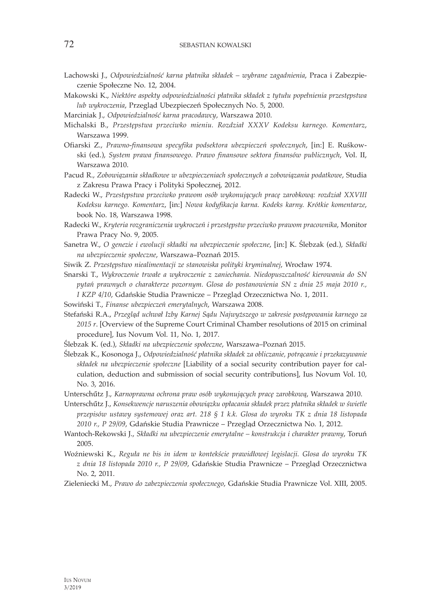- Lachowski J., *Odpowiedzialność karna płatnika składek wybrane zagadnienia*, Praca i Zabezpieczenie Społeczne No. 12, 2004.
- Makowski K., *Niektóre aspekty odpowiedzialności płatnika składek z tytułu popełnienia przestępstwa lub wykroczenia*, Przegląd Ubezpieczeń Społecznych No. 5, 2000.
- Marciniak J., *Odpowiedzialność karna pracodawcy*, Warszawa 2010.
- Michalski B., *Przestępstwa przeciwko mieniu. Rozdział XXXV Kodeksu karnego. Komentarz*, Warszawa 1999.
- Ofiarski Z., *Prawno-finansowa specyfika podsektora ubezpieczeń społecznych*, [in:] E. Ruśkowski (ed.), *System prawa finansowego. Prawo finansowe sektora finansów publicznych*, Vol. II, Warszawa 2010.
- Pacud R., *Zobowiązania składkowe w ubezpieczeniach społecznych a zobowiązania podatkowe*, Studia z Zakresu Prawa Pracy i Polityki Społecznej, 2012.
- Radecki W., *Przestępstwa przeciwko prawom osób wykonujących pracę zarobkową: rozdział XXVIII Kodeksu karnego. Komentarz*, [in:] *Nowa kodyfikacja karna. Kodeks karny. Krótkie komentarze*, book No. 18, Warszawa 1998.
- Radecki W., *Kryteria rozgraniczenia wykroczeń i przestępstw przeciwko prawom pracownika*, Monitor Prawa Pracy No. 9, 2005.
- Sanetra W., *O genezie i ewolucji składki na ubezpieczenie społeczne*, [in:] K. Ślebzak (ed.), *Składki na ubezpieczenie społeczne*, Warszawa–Poznań 2015.
- Siwik Z. *Przestępstwo niealimentacji ze stanowiska polityki kryminalnej*, Wrocław 1974.
- Snarski T., *Wykroczenie trwałe a wykroczenie z zaniechania. Niedopuszczalność kierowania do SN pytań prawnych o charakterze pozornym. Glosa do postanowienia SN z dnia 25 maja 2010 r., I KZP 4/10*, Gdańskie Studia Prawnicze – Przegląd Orzecznictwa No. 1, 2011.
- Sowiński T., *Finanse ubezpieczeń emerytalnych*, Warszawa 2008.
- Stefański R.A., *Przegląd uchwał Izby Karnej Sądu Najwyższego w zakresie postępowania karnego za 2015 r*. [Overview of the Supreme Court Criminal Chamber resolutions of 2015 on criminal procedure], Ius Novum Vol. 11, No. 1, 2017.
- Ślebzak K. (ed.), *Składki na ubezpieczenie społeczne*, Warszawa–Poznań 2015.
- Ślebzak K., Kosonoga J., *Odpowiedzialność płatnika składek za obliczanie, potrącanie i przekazywanie składek na ubezpieczenie społeczne* [Liability of a social security contribution payer for calculation, deduction and submission of social security contributions], Ius Novum Vol. 10, No. 3, 2016.
- Unterschűtz J., *Karnoprawna ochrona praw osób wykonujących pracę zarobkową*, Warszawa 2010.
- Unterschűtz J., *Konsekwencje naruszenia obowiązku opłacania składek przez płatnika składek w świetle przepisów ustawy systemowej oraz art. 218 § 1 k.k. Glosa do wyroku TK z dnia 18 listopada 2010 r., P 29/09*, Gdańskie Studia Prawnicze – Przegląd Orzecznictwa No. 1, 2012.
- Wantoch-Rekowski J., *Składki na ubezpieczenie emerytalne konstrukcja i charakter prawny*, Toruń 2005.
- Woźniewski K., *Reguła ne bis in idem w kontekście prawidłowej legislacji. Glosa do wyroku TK z dnia 18 listopada 2010 r., P 29/09*, Gdańskie Studia Prawnicze – Przegląd Orzecznictwa No. 2, 2011.
- Zieleniecki M., *Prawo do zabezpieczenia społecznego*, Gdańskie Studia Prawnicze Vol. XIII, 2005.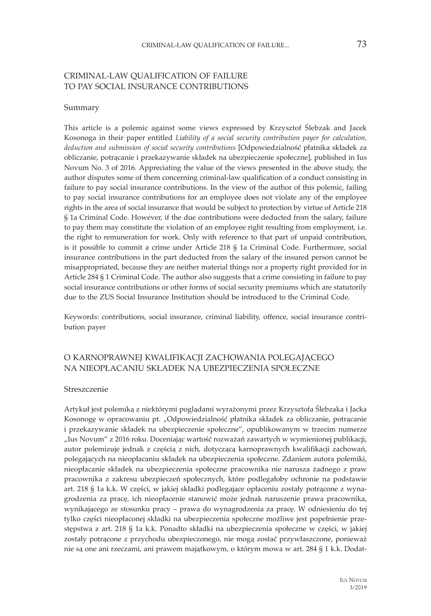### CRIMINAL-LAW QUALIFICATION OF FAILURE TO PAY SOCIAL INSURANCE CONTRIBUTIONS

#### Summary

This article is a polemic against some views expressed by Krzysztof Ślebzak and Jacek Kosonoga in their paper entitled *Liability of a social security contribution payer for calculation, deduction and submission of social security contributions* [Odpowiedzialność płatnika składek za obliczanie, potrącanie i przekazywanie składek na ubezpieczenie społeczne], published in Ius Novum No. 3 of 2016*.* Appreciating the value of the views presented in the above study, the author disputes some of them concerning criminal-law qualification of a conduct consisting in failure to pay social insurance contributions. In the view of the author of this polemic, failing to pay social insurance contributions for an employee does not violate any of the employee rights in the area of social insurance that would be subject to protection by virtue of Article 218 § 1a Criminal Code. However, if the due contributions were deducted from the salary, failure to pay them may constitute the violation of an employee right resulting from employment, i.e. the right to remuneration for work. Only with reference to that part of unpaid contribution, is it possible to commit a crime under Article 218 § 1a Criminal Code. Furthermore, social insurance contributions in the part deducted from the salary of the insured person cannot be misappropriated, because they are neither material things nor a property right provided for in Article 284 § 1 Criminal Code. The author also suggests that a crime consisting in failure to pay social insurance contributions or other forms of social security premiums which are statutorily due to the ZUS Social Insurance Institution should be introduced to the Criminal Code.

Keywords: contributions, social insurance, criminal liability, offence, social insurance contribution payer

#### O KARNOPRAWNEJ KWALIFIKACJI ZACHOWANIA POLEGAJĄCEGO NA NIEOPŁACANIU SKŁADEK NA UBEZPIECZENIA SPOŁECZNE

#### Streszczenie

Artykuł jest polemiką z niektórymi poglądami wyrażonymi przez Krzysztofa Ślebzaka i Jacka Kosonogę w opracowaniu pt. "Odpowiedzialność płatnika składek za obliczanie, potrącanie i przekazywanie składek na ubezpieczenie społeczne", opublikowanym w trzecim numerze "Ius Novum" z 2016 roku. Doceniając wartość rozważań zawartych w wymienionej publikacji, autor polemizuje jednak z częścią z nich, dotyczącą karnoprawnych kwalifikacji zachowań, polegających na nieopłacaniu składek na ubezpieczenia społeczne. Zdaniem autora polemiki, nieopłacanie składek na ubezpieczenia społeczne pracownika nie narusza żadnego z praw pracownika z zakresu ubezpieczeń społecznych, które podlegałoby ochronie na podstawie art. 218 § 1a k.k. W części, w jakiej składki podlegające opłaceniu zostały potrącone z wynagrodzenia za pracę, ich nieopłacenie stanowić może jednak naruszenie prawa pracownika, wynikającego ze stosunku pracy – prawa do wynagrodzenia za pracę. W odniesieniu do tej tylko części nieopłaconej składki na ubezpieczenia społeczne możliwe jest popełnienie przestępstwa z art. 218 § 1a k.k. Ponadto składki na ubezpieczenia społeczne w części, w jakiej zostały potrącone z przychodu ubezpieczonego, nie mogą zostać przywłaszczone, ponieważ nie są one ani rzeczami, ani prawem majątkowym, o którym mowa w art. 284 § 1 k.k. Dodat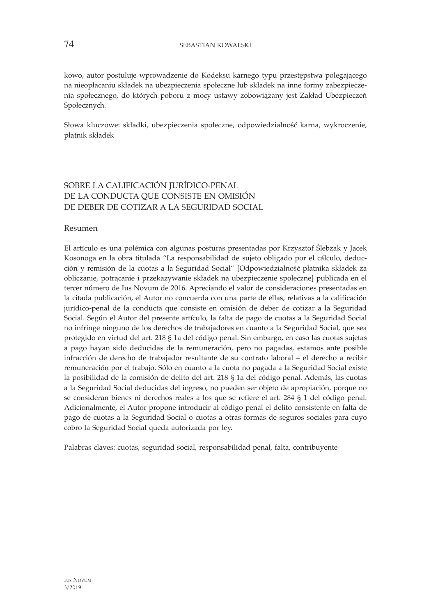kowo, autor postuluje wprowadzenie do Kodeksu karnego typu przestępstwa polegającego na nieopłacaniu składek na ubezpieczenia społeczne lub składek na inne formy zabezpieczenia społecznego, do których poboru z mocy ustawy zobowiązany jest Zakład Ubezpieczeń Społecznych.

Słowa kluczowe: składki, ubezpieczenia społeczne, odpowiedzialność karna, wykroczenie, płatnik składek

## SOBRE LA CALIFICACIÓN JURÍDICO-PENAL DE LA CONDUCTA QUE CONSISTE EN OMISIÓN DE DEBER DE COTIZAR A LA SEGURIDAD SOCIAL

Resumen

El artículo es una polémica con algunas posturas presentadas por Krzysztof Ślebzak y Jacek Kosonoga en la obra titulada "La responsabilidad de sujeto obligado por el cálculo, deducción y remisión de la cuotas a la Seguridad Social" [Odpowiedzialność płatnika składek za obliczanie, potrącanie i przekazywanie składek na ubezpieczenie społeczne] publicada en el tercer número de Ius Novum de 2016. Apreciando el valor de consideraciones presentadas en la citada publicación, el Autor no concuerda con una parte de ellas, relativas a la calificación jurídico-penal de la conducta que consiste en omisión de deber de cotizar a la Seguridad Social. Según el Autor del presente artículo, la falta de pago de cuotas a la Seguridad Social no infringe ninguno de los derechos de trabajadores en cuanto a la Seguridad Social, que sea protegido en virtud del art. 218 § 1a del código penal. Sin embargo, en caso las cuotas sujetas a pago hayan sido deducidas de la remuneración, pero no pagadas, estamos ante posible infracción de derecho de trabajador resultante de su contrato laboral – el derecho a recibir remuneración por el trabajo. Sólo en cuanto a la cuota no pagada a la Seguridad Social existe la posibilidad de la comisión de delito del art. 218 § 1a del código penal. Además, las cuotas a la Seguridad Social deducidas del ingreso, no pueden ser objeto de apropiación, porque no se consideran bienes ni derechos reales a los que se refiere el art. 284 § 1 del código penal. Adicionalmente, el Autor propone introducir al código penal el delito consistente en falta de pago de cuotas a la Seguridad Social o cuotas a otras formas de seguros sociales para cuyo cobro la Seguridad Social queda autorizada por ley.

Palabras claves: cuotas, seguridad social, responsabilidad penal, falta, contribuyente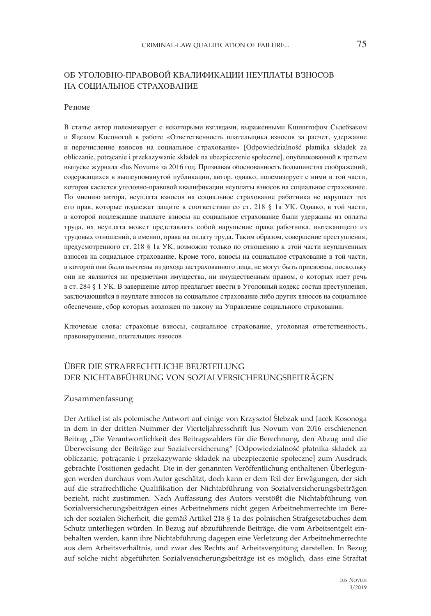## ОБ УГОЛОВНО-ПРАВОВОЙ КВАЛИФИКАЦИИ НЕУПЛАТЫ ВЗНОСОВ НА СОЦИАЛЬНОЕ СТРАХОВАНИЕ

#### Резюме

В статье автор полемизирует с некоторыми взглядами, выраженными Кшиштофом Сьлебзаком и Яцеком Косоногой в работе «Ответственность плательщика взносов за расчет, удержание и перечисление взносов на социальное страхование» [Odpowiedzialność płatnika składek za obliczanie, potrącanie i przekazywanie składek na ubezpieczenie społeczne], опубликованной в третьем выпуске журнала «Ius Novum» за 2016 год. Признавая обоснованность большинства соображений, содержащихся в вышеупомянутой публикации, автор, однако, полемизирует с ними в той части, которая касается уголовно-правовой квалификации неуплаты взносов на социальное страхование. По мнению автора, неуплата взносов на социальное страхование работника не нарушает тех его прав, которые подлежат защите в соответствии со ст. 218 § 1а УК. Однако, в той части, в которой подлежащие выплате взносы на социальное страхование были удержаны из оплаты труда, их неуплата может представлять собой нарушение права работника, вытекающего из трудовых отношений, а именно, права на оплату труда. Таким образом, совершение преступления, предусмотренного ст. 218 § 1а УК, возможно только по отношению к этой части неуплаченных взносов на социальное страхование. Кроме того, взносы на социальное страхование в той части, в которой они были вычтены из дохода застрахованного лица, не могут быть присвоены, поскольку они не являются ни предметами имущества, ни имущественным правом, о которых идет речь в ст. 284 § 1 УК. В завершение автор предлагает ввести в Уголовный кодекс состав преступления, заключающийся в неуплате взносов на социальное страхование либо других взносов на социальное обеспечение, сбор которых возложен по закону на Управление социального страхования.

Ключевые слова: страховые взносы, социальное страхование, уголовная ответственность, правонарушение, плательщик взносов

## ÜBER DIE STRAFRECHTLICHE BEURTEILUNG DER NICHTABFÜHRUNG VON SOZIALVERSICHERUNGSBEITRÄGEN

#### Zusammenfassung

Der Artikel ist als polemische Antwort auf einige von Krzysztof Ślebzak und Jacek Kosonoga in dem in der dritten Nummer der Vierteljahresschrift Ius Novum von 2016 erschienenen Beitrag "Die Verantwortlichkeit des Beitragszahlers für die Berechnung, den Abzug und die Überweisung der Beiträge zur Sozialversicherung" [Odpowiedzialność płatnika składek za obliczanie, potrącanie i przekazywanie składek na ubezpieczenie społeczne] zum Ausdruck gebrachte Positionen gedacht. Die in der genannten Veröffentlichung enthaltenen Überlegungen werden durchaus vom Autor geschätzt, doch kann er dem Teil der Erwägungen, der sich auf die strafrechtliche Qualifikation der Nichtabführung von Sozialversicherungsbeiträgen bezieht, nicht zustimmen. Nach Auffassung des Autors verstößt die Nichtabführung von Sozialversicherungsbeiträgen eines Arbeitnehmers nicht gegen Arbeitnehmerrechte im Bereich der sozialen Sicherheit, die gemäß Artikel 218 § 1a des polnischen Strafgesetzbuches dem Schutz unterliegen würden. In Bezug auf abzuführende Beiträge, die vom Arbeitsentgelt einbehalten werden, kann ihre Nichtabführung dagegen eine Verletzung der Arbeitnehmerrechte aus dem Arbeitsverhältnis, und zwar des Rechts auf Arbeitsvergütung darstellen. In Bezug auf solche nicht abgeführten Sozialversicherungsbeiträge ist es möglich, dass eine Straftat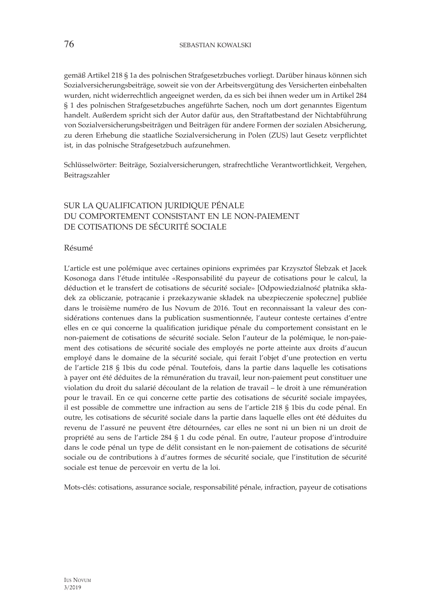gemäß Artikel 218 § 1a des polnischen Strafgesetzbuches vorliegt. Darüber hinaus können sich Sozialversicherungsbeiträge, soweit sie von der Arbeitsvergütung des Versicherten einbehalten wurden, nicht widerrechtlich angeeignet werden, da es sich bei ihnen weder um in Artikel 284 § 1 des polnischen Strafgesetzbuches angeführte Sachen, noch um dort genanntes Eigentum handelt. Außerdem spricht sich der Autor dafür aus, den Straftatbestand der Nichtabführung von Sozialversicherungsbeiträgen und Beiträgen für andere Formen der sozialen Absicherung, zu deren Erhebung die staatliche Sozialversicherung in Polen (ZUS) laut Gesetz verpflichtet ist, in das polnische Strafgesetzbuch aufzunehmen.

Schlüsselwörter: Beiträge, Sozialversicherungen, strafrechtliche Verantwortlichkeit, Vergehen, Beitragszahler

## SUR LA QUALIFICATION JURIDIQUE PÉNALE DU COMPORTEMENT CONSISTANT EN LE NON-PAIEMENT DE COTISATIONS DE SÉCURITÉ SOCIALE

Résumé

L'article est une polémique avec certaines opinions exprimées par Krzysztof Ślebzak et Jacek Kosonoga dans l'étude intitulée «Responsabilité du payeur de cotisations pour le calcul, la déduction et le transfert de cotisations de sécurité sociale» [Odpowiedzialność płatnika składek za obliczanie, potrącanie i przekazywanie składek na ubezpieczenie społeczne] publiée dans le troisième numéro de Ius Novum de 2016. Tout en reconnaissant la valeur des considérations contenues dans la publication susmentionnée, l'auteur conteste certaines d'entre elles en ce qui concerne la qualification juridique pénale du comportement consistant en le non-paiement de cotisations de sécurité sociale. Selon l'auteur de la polémique, le non-paiement des cotisations de sécurité sociale des employés ne porte atteinte aux droits d'aucun employé dans le domaine de la sécurité sociale, qui ferait l'objet d'une protection en vertu de l'article 218 § 1bis du code pénal. Toutefois, dans la partie dans laquelle les cotisations à payer ont été déduites de la rémunération du travail, leur non-paiement peut constituer une violation du droit du salarié découlant de la relation de travail – le droit à une rémunération pour le travail. En ce qui concerne cette partie des cotisations de sécurité sociale impayées, il est possible de commettre une infraction au sens de l'article 218 § 1bis du code pénal. En outre, les cotisations de sécurité sociale dans la partie dans laquelle elles ont été déduites du revenu de l'assuré ne peuvent être détournées, car elles ne sont ni un bien ni un droit de propriété au sens de l'article 284 § 1 du code pénal. En outre, l'auteur propose d'introduire dans le code pénal un type de délit consistant en le non-paiement de cotisations de sécurité sociale ou de contributions à d'autres formes de sécurité sociale, que l'institution de sécurité sociale est tenue de percevoir en vertu de la loi.

Mots-clés: cotisations, assurance sociale, responsabilité pénale, infraction, payeur de cotisations